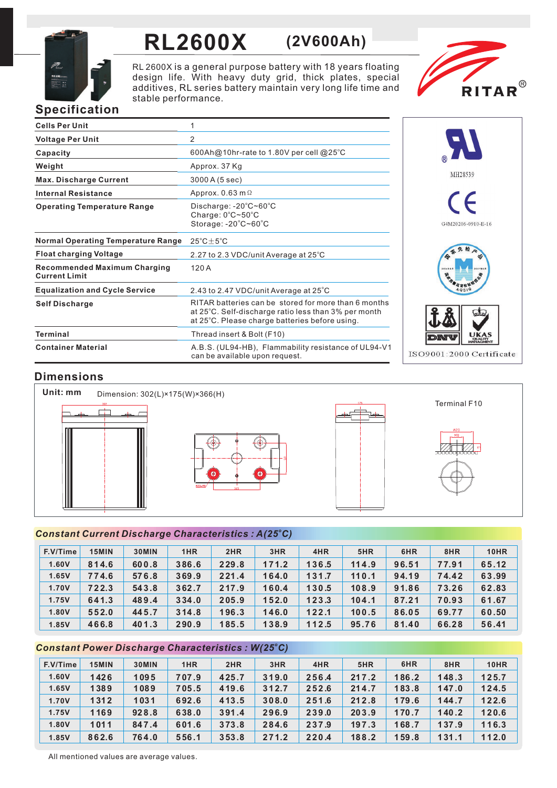

# **RL2600X (2V600Ah)**

RL 2600X is a general purpose battery with 18 years floating design life. With heavy duty grid, thick plates, special additives, RL series battery maintain very long life time and stable performance.



# **Specification**

| <b>Cells Per Unit</b>                                       | 1                                                                                                                                                              |
|-------------------------------------------------------------|----------------------------------------------------------------------------------------------------------------------------------------------------------------|
| <b>Voltage Per Unit</b>                                     | 2                                                                                                                                                              |
| Capacity                                                    | 600Ah@10hr-rate to 1.80V per cell @25°C                                                                                                                        |
| Weight                                                      | Approx. 37 Kg                                                                                                                                                  |
| <b>Max. Discharge Current</b>                               | 3000 A (5 sec)                                                                                                                                                 |
| <b>Internal Resistance</b>                                  | Approx. 0.63 m $\Omega$                                                                                                                                        |
| <b>Operating Temperature Range</b>                          | Discharge: $-20^{\circ}$ C~60 $^{\circ}$ C<br>Charge: $0^{\circ}$ C~50 $^{\circ}$ C<br>Storage: $-20^{\circ}$ C $-60^{\circ}$ C                                |
| <b>Normal Operating Temperature Range</b>                   | $25^{\circ}$ C + $5^{\circ}$ C                                                                                                                                 |
| <b>Float charging Voltage</b>                               | 2.27 to 2.3 VDC/unit Average at 25°C                                                                                                                           |
| <b>Recommended Maximum Charging</b><br><b>Current Limit</b> | 120A                                                                                                                                                           |
| <b>Equalization and Cycle Service</b>                       | 2.43 to 2.47 VDC/unit Average at 25°C                                                                                                                          |
| <b>Self Discharge</b>                                       | RITAR batteries can be stored for more than 6 months<br>at 25°C. Self-discharge ratio less than 3% per month<br>at 25°C. Please charge batteries before using. |
| <b>Terminal</b>                                             | Thread insert & Bolt (F10)                                                                                                                                     |
| <b>Container Material</b>                                   | A.B.S. (UL94-HB), Flammability resistance of UL94-V1<br>can be available upon request.                                                                         |



## **Dimensions**



## *<sup>o</sup> Constant Current Discharge Characteristics : A(25 C)*

| F.V/Time | 15MIN | 30MIN | 1HR   | 2HR   | 3HR   | 4HR   | 5HR   | 6HR   | 8HR   | <b>10HR</b> |
|----------|-------|-------|-------|-------|-------|-------|-------|-------|-------|-------------|
| 1.60V    | 814.6 | 600.8 | 386.6 | 229.8 | 171.2 | 136.5 | 114.9 | 96.51 | 77.91 | 65.12       |
| 1.65V    | 774.6 | 576.8 | 369.9 | 221.4 | 164.0 | 131.7 | 110.1 | 94.19 | 74.42 | 63.99       |
| 1.70V    | 722.3 | 543.8 | 362.7 | 217.9 | 160.4 | 130.5 | 108.9 | 91.86 | 73.26 | 62.83       |
| 1.75V    | 641.3 | 489.4 | 334.0 | 205.9 | 152.0 | 123.3 | 104.1 | 87.21 | 70.93 | 61.67       |
| 1.80V    | 552.0 | 445.7 | 314.8 | 196.3 | 146.0 | 122.1 | 100.5 | 86.05 | 69.77 | 60.50       |
| 1.85V    | 466.8 | 401.3 | 290.9 | 185.5 | 138.9 | 112.5 | 95.76 | 81.40 | 66.28 | 56.41       |

## *<sup>o</sup> Constant Power Discharge Characteristics : W(25 C)*

| F.V/Time | 15MIN | 30MIN | 1HR   | 2HR   | 3HR   | 4HR   | 5HR   | 6HR   | 8HR   | <b>10HR</b> |
|----------|-------|-------|-------|-------|-------|-------|-------|-------|-------|-------------|
| 1.60V    | 1426  | 1095  | 707.9 | 425.7 | 319.0 | 256.4 | 217.2 | 186.2 | 148.3 | 125.7       |
| 1.65V    | 1389  | 1089  | 705.5 | 419.6 | 312.7 | 252.6 | 214.7 | 183.8 | 147.0 | 124.5       |
| 1.70V    | 1312  | 1031  | 692.6 | 413.5 | 308.0 | 251.6 | 212.8 | 179.6 | 144.7 | 122.6       |
| 1.75V    | 1169  | 928.8 | 638.0 | 391.4 | 296.9 | 239.0 | 203.9 | 170.7 | 140.2 | 120.6       |
| 1.80V    | 1011  | 847.4 | 601.6 | 373.8 | 284.6 | 237.9 | 197.3 | 168.7 | 137.9 | 116.3       |
| 1.85V    | 862.6 | 764.0 | 556.1 | 353.8 | 271.2 | 220.4 | 188.2 | 159.8 | 131.1 | 112.0       |

All mentioned values are average values.